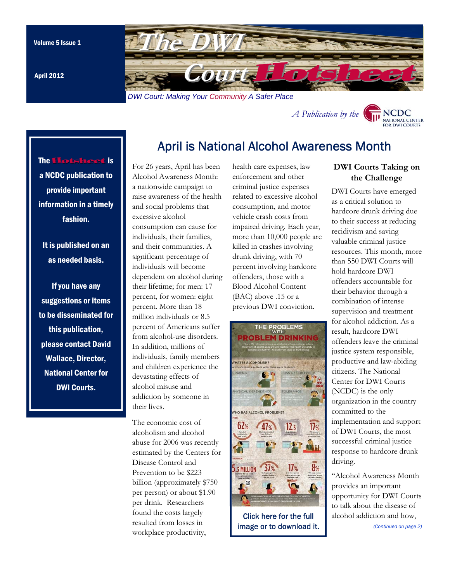<span id="page-0-0"></span>

April is National Alcohol Awareness Month

April 2012

# *A Publicatio[n by the](http://www.dwicourts.org/ncdc-home/)*



# The Hotsheet is a NCDC publication to provide important information in a timely fashion.

It is published on an as needed basis.

If you have any suggestions or items to be disseminated for this publication, please contact David Wallace, Director, National Center for DWI Courts.

#### For 26 years, April has been Alcohol Awareness Month: a nationwide campaign to raise awareness of the health and social problems that excessive alcohol consumption can cause for individuals, their families, and their communities. A significant percentage of individuals will become dependent on alcohol during their lifetime; for men: 17 percent, for women: eight percent. More than 18 million individuals or 8.5 percent of Americans suffer from alcohol-use disorders. In addition, millions of individuals, family members and children experience the devastating effects of alcohol misuse and addiction by someone in their lives.

The economic cost of alcoholism and alcohol abuse for 2006 was recently estimated by the Centers for Disease Control and Prevention to be \$223 billion (approximately \$750 per person) or about \$1.90 per drink. Researchers found the costs largely resulted from losses in workplace productivity,

health care expenses, law enforcement and other criminal justice expenses related to excessive alcohol consumption, and motor vehicle crash costs from impaired driving. Each year, more than 10,000 people are killed in crashes involving drunk driving, with 70 percent involving hardcore offenders, those with a Blood Alcohol Content (BAC) above .15 or a previous DWI conviction.



Click here for the full [image or to download it.](http://infographicjournal.com/the-problems-with-problem-drinking/) 

### **DWI Courts Taking on the Challenge**

DWI Courts have emerged as a critical solution to hardcore drunk driving due to their success at reducing recidivism and saving valuable criminal justice resources. This month, more than 550 DWI Courts will hold hardcore DWI offenders accountable for their behavior through a combination of intense supervision and treatment for alcohol addiction. As a result, hardcore DWI offenders leave the criminal justice system responsible, productive and law-abiding citizens. The National Center for DWI Courts (NCDC) is the only organization in the country committed to the implementation and support of DWI Courts, the most successful criminal justice response to hardcore drunk driving.

"Alcohol Awareness Month provides an important opportunity for DWI Courts to talk about the disease of alcohol a[ddiction and how,](#page-1-0)